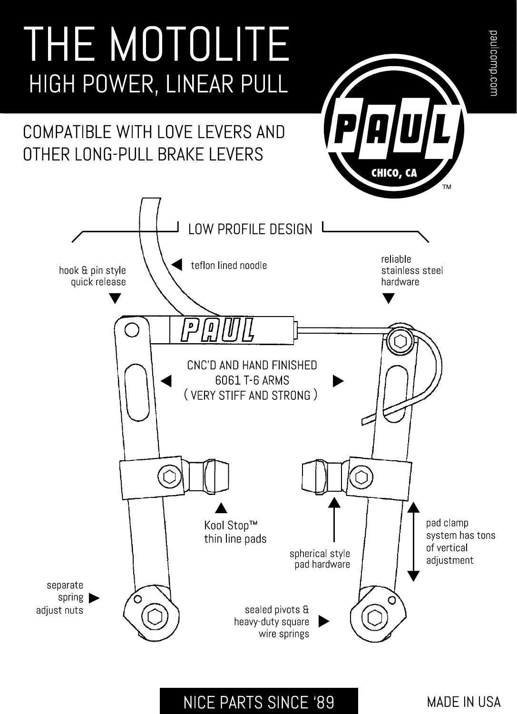

# **NICE PARTS SINCE '89**

**MADE IN USA**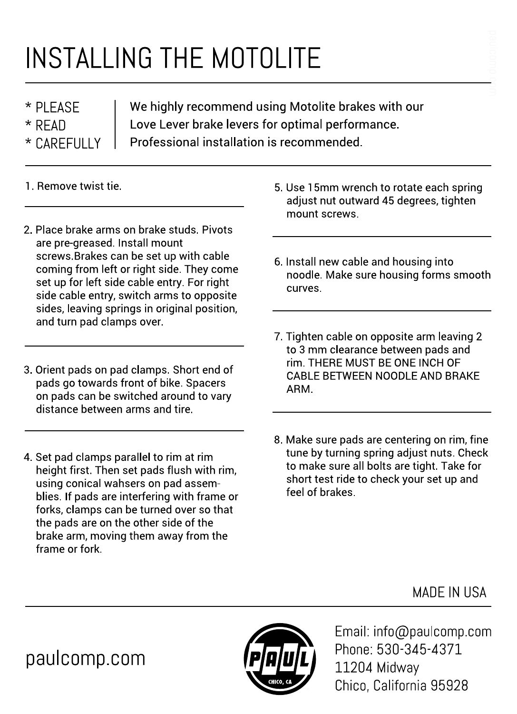# INSTALLING THE MOTOLITE

\* PLEASE  $*$  RFAD \* CARFFIIIIY We highly recommend using Motolite brakes with our Love Lever brake levers for optimal performance. Professional installation is recommended.

- 1. Remove twist tie.
- 2. Place brake arms on brake studs. Pivots are pre-greased. Install mount screws Brakes can be set up with cable coming from left or right side. They come set up for left side cable entry. For right side cable entry, switch arms to opposite sides, leaving springs in original position, and turn pad clamps over.
- 3. Orient pads on pad clamps. Short end of pads go towards front of bike. Spacers on pads can be switched around to vary distance between arms and tire.
- 4. Set pad clamps parallel to rim at rim height first. Then set pads flush with rim. using conical wahsers on pad assemblies. If pads are interfering with frame or forks, clamps can be turned over so that the pads are on the other side of the brake arm, moving them away from the frame or fork.
- 5. Use 15mm wrench to rotate each spring adjust nut outward 45 degrees, tighten mount screws.
- 6. Install new cable and housing into noodle. Make sure housing forms smooth curves.
- 7. Tighten cable on opposite arm leaving 2 to 3 mm clearance between pads and rim. THERE MUST BE ONE INCH OF CABLE BETWEEN NOODLE AND BRAKE ARM.
- 8. Make sure pads are centering on rim, fine tune by turning spring adjust nuts. Check to make sure all bolts are tight. Take for short test ride to check your set up and feel of brakes.

MADE IN USA

paulcomp.com



Email: info@paulcomp.com Phone: 530-345-4371 11204 Midway Chico. California 95928